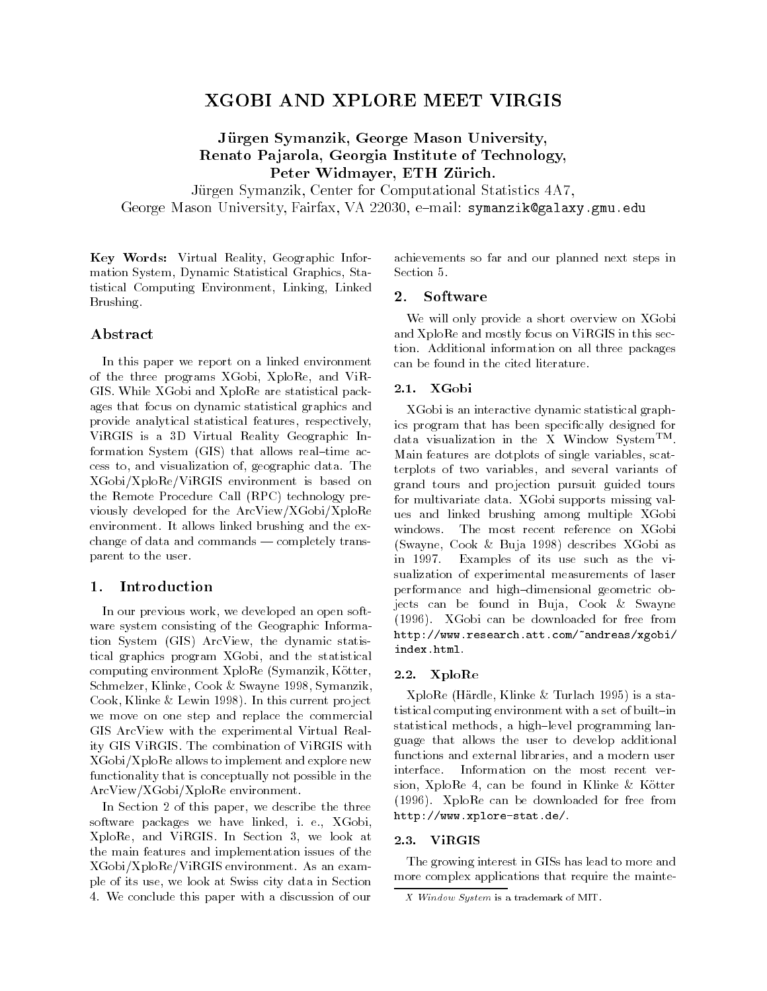# XGOBI AND XPLORE MEET VIRGIS

Jürgen Symanzik, George Mason University, Renato Pajarola, Georgia Institute of Technology, Peter Widmayer, ETH Zürich.

Jurgen Symanzik, Center for Computational Statistics 4A7, George Mason University, Fairfax, VA 22030, e-mail: symanzik@galaxy.gmu.edu

Key Words: Virtual Reality, Geographic Information System, Dynamic Statistical Graphics, Statistical Computing Environment, Linking, Linked Brushing.

achievements so far and our planned next steps in Section 5.

# **Software**

Abstract

In this paper we report on a linked environment of the three programs XGobi, XploRe, and ViR-GIS. While XGobi and XploRe are statistical packages that focus on dynamic statistical graphics and provide analytical statistical features, respectively, ViRGIS is a 3D Virtual Reality Geographic Information System  $(GIS)$  that allows real-time access to, and visualization of, geographic data. The XGobi/XploRe/ViRGIS environment is based on the Remote Procedure Call (RPC) technology previously developed for the ArcView/XGobi/XploRe environment. It allows linked brushing and the exchange of data and commands  $-$  completely transparent to the user.

## Introduction

In our previous work, we developed an open software system consisting of the Geographic Information System (GIS) ArcView, the dynamic statistical graphics program XGobi, and the statistical computing environment XploRe (Symanzik, Kotter, Schmelzer, Klinke, Cook & Swayne 1998, Symanzik, Cook, Klinke & Lewin 1998). In this current project we move on one step and replace the commercial GIS ArcView with the experimental Virtual Reality GIS ViRGIS. The combination of ViRGIS with XGobi/XploRe allows to implement and explore new functions functionality that is conceptually not possible in the ArcView/XGobi/XploRe environment.

In Section 2 of this paper, we describe the three software packages we have linked, i. e., XGobi, XploRe, and ViRGIS. In Section 3, we look at the main features and implementation issues of the XGobi/XploRe/ViRGIS environment. As an example of its use, we look at Swiss city data in Section 4. We conclude this paper with a discussion of our

We will only provide a short overview on XGobi and XploRe and mostly focus on ViRGIS in this section. Additional information on all three packages

can be found in the cited literature.

# 2.1. XGobi

XGobi is an interactive dynamic statistical graphics program that has been specifically designed for data visualization in the X Window SystemTM. Main features are dotplots of single variables, scatterplots of two variables, and several variants of grand tours and projection pursuit guided tours for multivariate data. XGobi supports missing values and linked brushing among multiple XGobi windows. The most recent reference on XGobi (Swayne, Cook & Buja 1998) describes XGobi as in 1997. Examples of its use such as the visualization of experimental measurements of laser performance and high-dimensional geometric objects can be found in Buja, Cook & Swayne (1996). XGobi can be downloaded for free from http://www.research.att.com/~andreas/xgobi/index.html.

## 2.2. XploRe

XploRe (Hardle, Klinke&Turlach 1995) is a statistical computing environment with a set of built-in statistical methods, a high-level programming language that allows the user to develop additional functions and external libraries, and a modern user Information on the most recent version, XploRe 4, can be found in Klinke & Kötter (1996). XploRe can be downloaded for free from http://www.xplore-stat.de/.

The growing interest in GISs has lead to more and more complex applications that require the mainte-

X Window System is a trademark of MIT.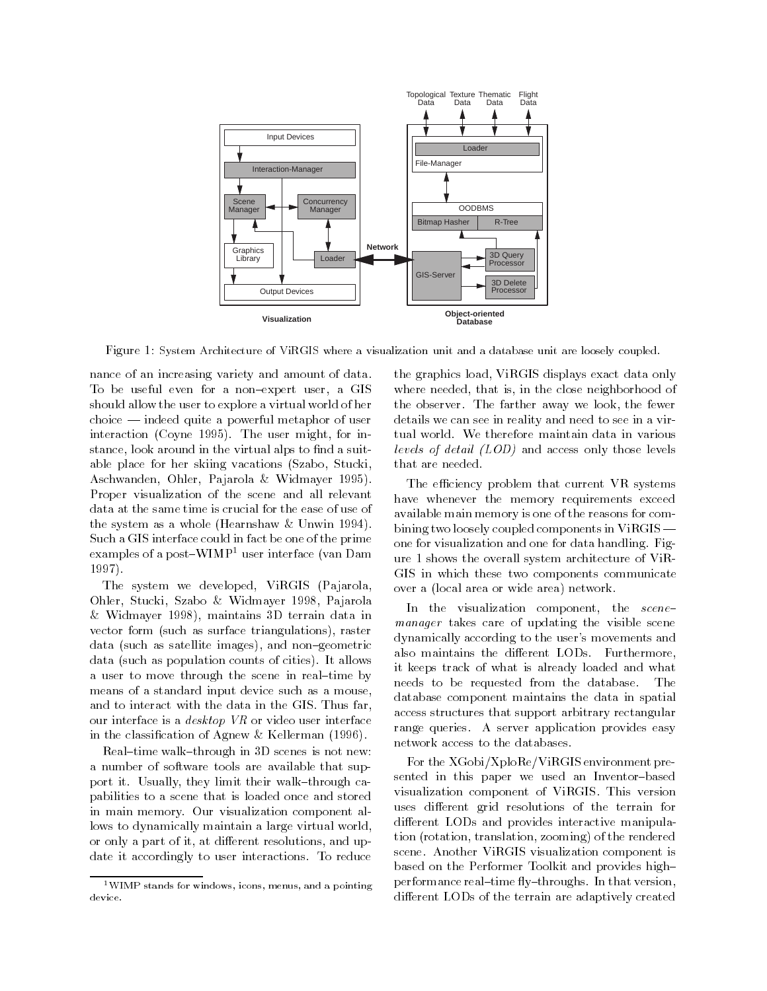

Figure 1: System Architecture of ViRGIS where a visualization unit and a database unit are loosely coupled.

nance of an increasing variety and amount of data. To be useful even for a non-expert user, a GIS should allow the user to explore a virtual world of her  $choice$  - indeed quite a powerful metaphor of user interaction (Coyne 1995). The user might, for instance, look around in the virtual alps to find a suitable place for her skiing vacations (Szabo, Stucki, Aschwanden, Ohler, Pajarola & Widmayer 1995). Proper visualization of the scene and all relevant data at the same time is crucial for the ease of use of the system as a whole (Hearnshaw & Unwin 1994). Such a GIS interface could in fact be one of the prime examples of a post-WIMP<sup>1</sup> user interface (van Dam 1997).

The system we developed, ViRGIS (Pajarola, Ohler, Stucki, Szabo & Widmayer 1998, Pajarola & Widmayer 1998), maintains 3D terrain data in vector form (such as surface triangulations), raster data (such as satellite images), and non-geometric data (such as population counts of cities). It allows a user to move through the scene in real-time by means of a standard input device such as a mouse, and to interact with the data in the GIS. Thus far, our interface is a desktop VR or video user interface in the classication of Agnew & Kellerman (1996).

Real-time walk-through in  $3D$  scenes is not new: a number of software tools are available that support it. Usually, they limit their walk-through capabilities to a scene that is loaded once and stored in main memory. Our visualization component allows to dynamically maintain a large virtual world, or only a part of it, at different resolutions, and update it accordingly to user interactions. To reduce

the graphics load, ViRGIS displays exact data only where needed, that is, in the close neighborhood of the observer. The farther away we look, the fewer details we can see in reality and need to see in a virtual world. We therefore maintain data in various  $\epsilon$  is the detail (LOD) and access only those levels that are needed.

The efficiency problem that current VR systems have whenever the memory requirements exceed available main memory is one of the reasons for combining two loosely coupled components in  $ViRGIS$  one for visualization and one for data handling. Figure 1 shows the overall system architecture of ViR-GIS in which these two components communicate over a (local area or wide area) network.

In the visualization component, the scenemanager takes care of updating the visible scene dynamically according to the user's movements and also maintains the different LODs. Furthermore, it keeps track of what is already loaded and what needs to be requested from the database. The database component maintains the data in spatial access structures that support arbitrary rectangular range queries. A server application provides easy network access to the databases.

For the XGobi/XploRe/ViRGIS environment presented in this paper we used an Inventor-based visualization component of ViRGIS. This version uses different grid resolutions of the terrain for different LODs and provides interactive manipulation (rotation, translation, zooming) of the rendered scene. Another ViRGIS visualization component is based on the Performer Toolkit and provides high{ performance real-time fly-throughs. In that version, different LODs of the terrain are adaptively created

<sup>1</sup>WIMP stands for windows, icons, menus, and a pointingdevice.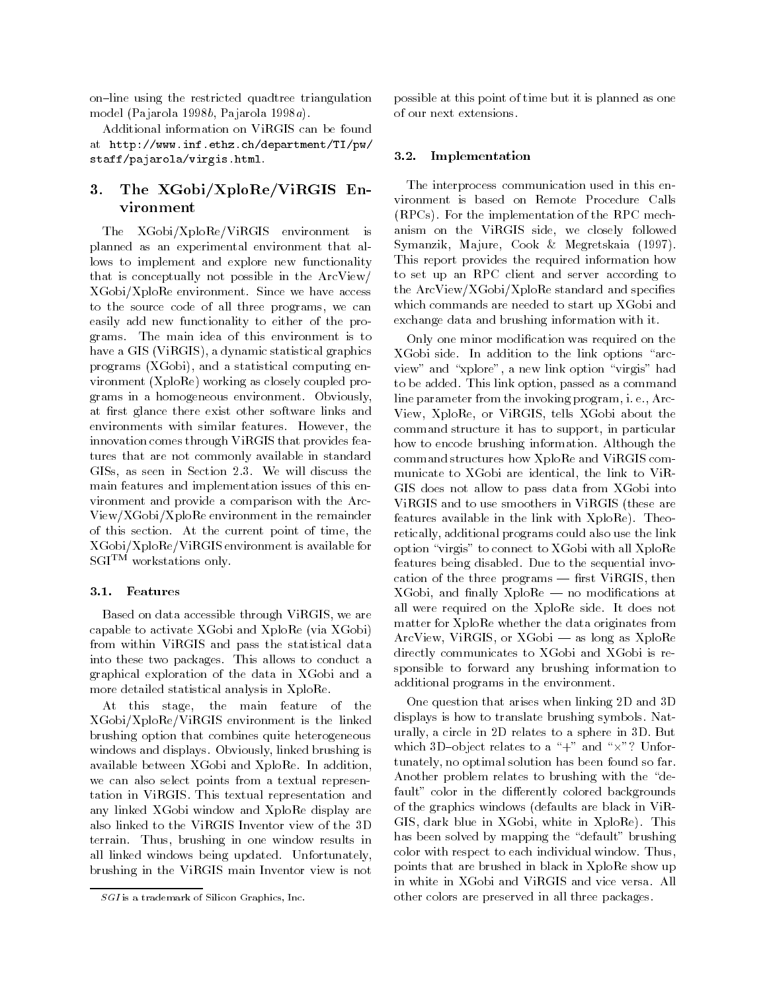on-line using the restricted quadtree triangulation model (Pajarola 1998b, Pajarola 1998a).

Additional information on ViRGIS can be found at http://www.inf.ethz.ch/department/TI/pw/ staff/pajarola/virgis.html.

# 3. The XGobi/XploRe/ViRGIS Environment

The XGobi/XploRe/ViRGIS environment is planned as an experimental environment that allows to implement and explore new functionality that is conceptually not possible in the ArcView/ XGobi/XploRe environment. Since we have access to the source code of all three programs, we can easily add new functionality to either of the programs. The main idea of this environment is to have a GIS (ViRGIS), a dynamic statistical graphics programs (XGobi), and a statistical computing environment (XploRe) working as closely coupled programs in a homogeneous environment. Obviously, at first glance there exist other software links and environments with similar features. However, the innovation comes through ViRGIS that provides features that are not commonly available in standard GISs, as seen in Section 2.3. We will discuss the main features and implementation issues of this environment and provide a comparison with the Arc-View/XGobi/XploRe environment in the remainder of this section. At the current point of time, the XGobi/XploRe/ViRGIS environment is available for SGITM workstations only.

#### 3.1. Features

Based on data accessible through ViRGIS, we are capable to activate XGobi and XploRe (via XGobi) from within ViRGIS and pass the statistical data into these two packages. This allows to conduct a graphical exploration of the data in XGobi and a more detailed statistical analysis in XploRe.

At this stage, the main feature of the XGobi/XploRe/ViRGIS environment is the linked brushing option that combines quite heterogeneous windows and displays. Obviously, linked brushing is available between XGobi and XploRe. In addition, we can also select points from a textual representation in ViRGIS. This textual representation and any linked XGobi window and XploRe display are also linked to the ViRGIS Inventor view of the 3D terrain. Thus, brushing in one window results in all linked windows being updated. Unfortunately, brushing in the ViRGIS main Inventor view is not

possible at this point of time but it is planned as one

#### 3.2. Implementation

The interprocess communication used in this environment is based on Remote Procedure Calls (RPCs). For the implementation of the RPC mechanism on the ViRGIS side, we closely followed Symanzik, Majure, Cook & Megretskaia (1997). This report provides the required information how to set up an RPC client and server according to the ArcView/XGobi/XploRe standard and specifies which commands are needed to start up XGobi and exchange data and brushing information with it.

Only one minor modication was required on the  $XGobi$  side. In addition to the link options "arcview" and "xplore", a new link option "virgis" had to be added. This link option, passed as a command line parameter from the invoking program, i. e., Arc-View, XploRe, or ViRGIS, tells XGobi about the command structure it has to support, in particular how to encode brushing information. Although the command structures how XploRe and ViRGIS com municate to XGobi are identical, the link to ViR-GIS does not allow to pass data from XGobi into ViRGIS and to use smoothers in ViRGIS (these are features available in the link with XploRe). Theoretically, additional programs could also use the link option \virgis" to connect to XGobi with all XploRe features being disabled. Due to the sequential invocation of the three programs  $-$  first ViRGIS, then  $XGobi$ , and finally  $XploRe$  – no modifications at all were required on the XploRe side. It does not matter for XploRe whether the data originates from  $ArcView, ViRGIS, or XGobi — as long as XploRe$ directly communicates to XGobi and XGobi is responsible to forward any brushing information to additional programs in the environment.

One question that arises when linking 2D and 3D displays is how to translate brushing symbols. Naturally, a circle in 2D relates to a sphere in 3D. But which 3D{object relates to a \+" and \-"? Unfortunately, no optimal solution has been found so far. Another problem relates to brushing with the "default" color in the differently colored backgrounds of the graphics windows (defaults are black in ViR-GIS, dark blue in XGobi, white in XploRe). This has been solved by mapping the "default" brushing color with respect to each individual window. Thus, points that are brushed in black in XploRe show up in white in XGobi and ViRGIS and vice versa. All other colors are preserved in all three packages.

SGI is a trademark of Silicon Graphics, Inc.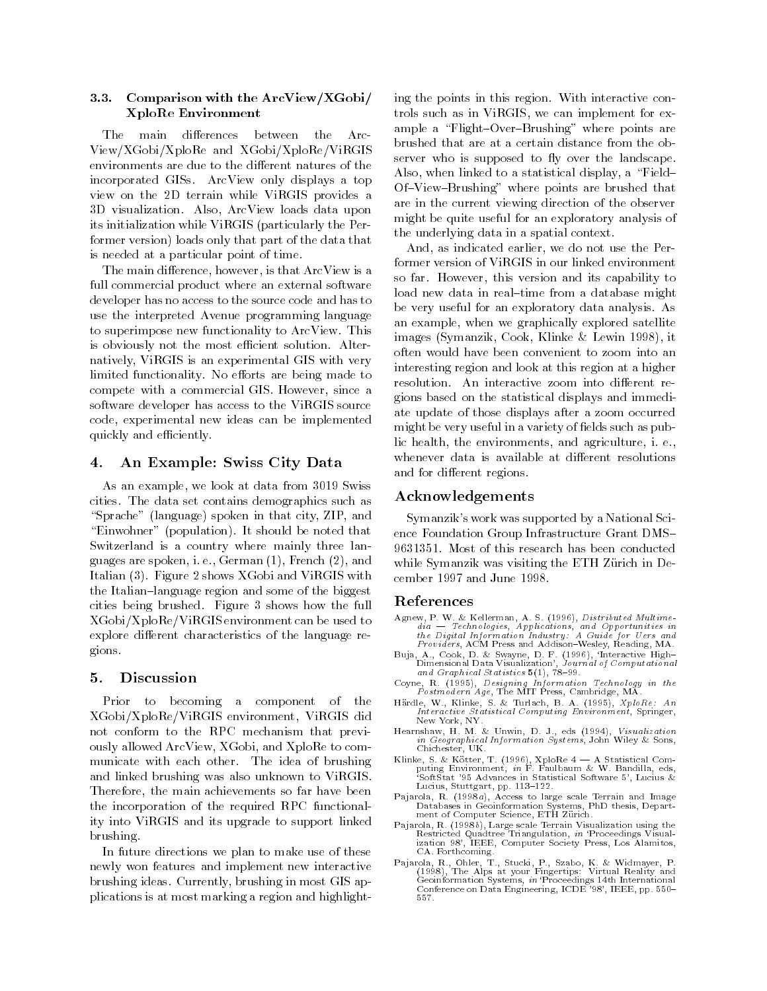#### 3.3. Comparison with the ArcView/XGobi/ XploRe Environment

The <sub>1</sub> main differences between the A rc-View/XGobi/XploRe and XGobi/XploRe/ViRGIS environments are due to the different natures of the incorporated GISs. ArcView only displays a top view on the 2D terrain while ViRGIS provides a 3D visualization. Also, ArcView loads data upon its initialization while ViRGIS (particularly the Performer version) loads only that part of the data that is needed at a particular point of time.

The main difference, however, is that ArcView is a full commercial product where an external software developer has no access to the source code and has to use the interpreted Avenue programming language to superimpose new functionality to ArcView. This is obviously not the most efficient solution. Alternatively, ViRGIS is an experimental GIS with very limited functionality. No efforts are being made to compete with a commercial GIS. However, since a software developer has access to the ViRGIS source code, experimental new ideas can be implemented quickly and efficiently.

#### 4. An Example: Swiss City Data 4.

As an example, we look at data from 3019 Swiss cities. The data set contains demographics such as "Sprache" (language) spoken in that city, ZIP, and "Einwohner" (population). It should be noted that Switzerland is a country where mainly three languages are spoken, i. e., German (1), French (2), and Italian (3). Figure 2 shows XGobi and ViRGIS with the Italian-language region and some of the biggest cities being brushed. Figure 3 shows how the full XGobi/XploRe/ViRGIS environment can be used to explore different characteristics of the language regions.

## 5. Discussion

Prior to becoming a component of the XGobi/XploRe/ViRGIS environment, ViRGIS did not conform to the RPC mechanism that previously allowed ArcView, XGobi, and XploRe to com municate with each other. The idea of brushing and linked brushing was also unknown to ViRGIS. Therefore, the main achievements so far have been the incorporation of the required RPC functionality into ViRGIS and its upgrade to support linked brushing.

In future directions we plan to make use of these newly won features and implement new interactive brushing ideas. Currently, brushing in most GIS applications is at most marking a region and highlighting the points in this region. With interactive controls such as in ViRGIS, we can implement for example a "Flight-Over-Brushing" where points are brushed that are at a certain distance from the observer who is supposed to fly over the landscape. Also, when linked to a statistical display, a "Field-Of-View-Brushing" where points are brushed that are in the current viewing direction of the observer might be quite useful for an exploratory analysis of the underlying data in a spatial context.

And, as indicated earlier, we do not use the Performer version of ViRGIS in our linked environment so far. However, this version and its capability to load new data in real-time from a database might be very useful for an exploratory data analysis. As an example, when we graphically explored satellite images (Symanzik, Cook, Klinke & Lewin 1998), it often would have been convenient to zoom into an interesting region and look at this region at a higher resolution. An interactive zoom into different regions based on the statistical displays and immediate update of those displays after a zoom occurred might be very useful in a variety of fields such as public health, the environments, and agriculture, i. e., whenever data is available at different resolutions and for different regions.

#### Acknowledgements

Symanzik's work was supported by a National Science Foundation Group Infrastructure Grant DMS-9631351. Most of this research has been conducted while Symanzik was visiting the ETH Zürich in December 1997 and June 1998.

- Agnew, P. W. & Kellerman, A. S. (1996), Distributed Multimethe Digital Information Industry: A Guide for Uers and<br>Providers, ACM Press and Addison-Wesley, Reading, MA.
- $D$ imensional Data Visualization', Journal of Computational and Graphical Statistics  $5(1)$ , 78-99.
- Coyne, R. (1995), Designing Information Technology in the  $\vec{P}$ ostm $\grave{o}$ dern $\acute{o}A$ ge, The MIT Press, Cambridge, MA.
- Hardle, W., Klinke, S. & Turlach, B. A. (1995), XploRe: An Interactive Statistical Computing Environment, Springer, New York, NY.
- Hearnshaw, H. M. & Unwin, D. J., eds (1994), Visualization in Geographical Information Systems, John Wiley & Sons, Chichester, UK.
- puting Environment, in F. Faulbaum & W. Bandilla, eds,<br>SoftStat '95 Advances in Statistical Software 5', Lucius & Lucius, Stuttgart, pp. 113-122.
- Pajarola, R. (1998a), Access to large scale Terrain and Image Databases in Geoinformation Systems, PhD thesis, Depart ment of Computer Science, ETH Zürich.
- Pajarola, R. (1998b), Large scale Terrain Visualization using the ization 98', IEEE, Computer Society Press, Los Alamitos, CA. Forthcoming.
- (1998), The Alps at your Fingertips: Virtual Reality and<br>Geoinformation Systems, in 'Proceedings 14th International<br>Conference on Data Engineering, ICDE '98', IEEE, pp. 550-557.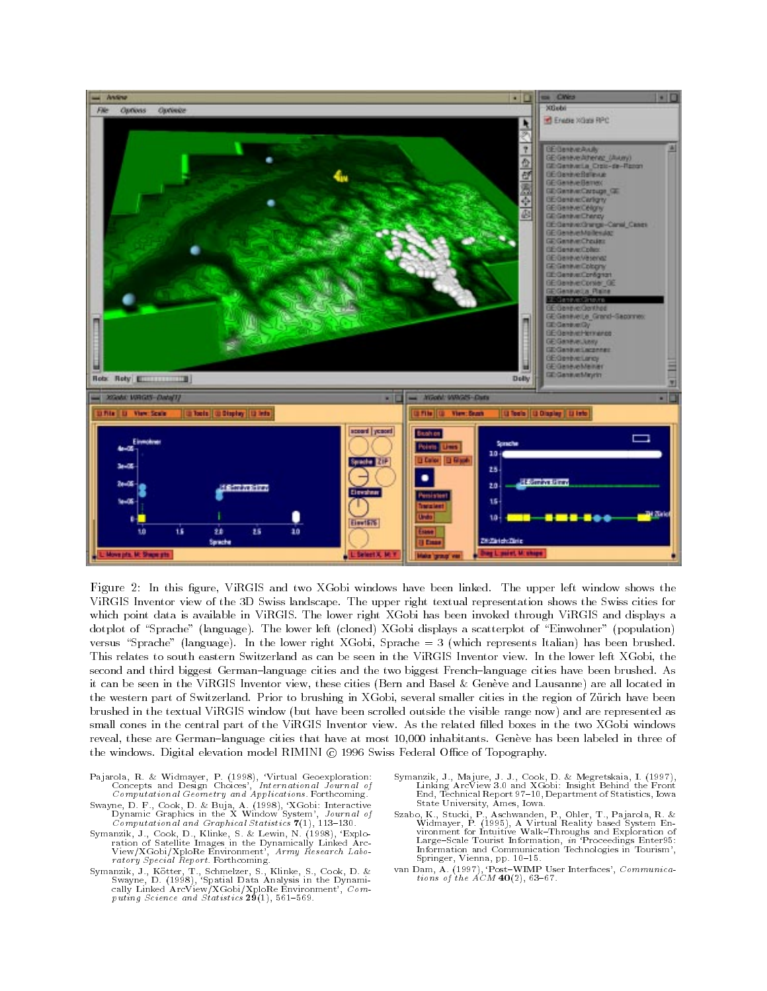

Figure 2: In this figure, ViRGIS and two XGobi windows have been linked. The upper left window shows the ViRGIS Inventor view of the 3D Swiss landscape. The upper right textual representation shows the Swiss cities for which point data is available in ViRGIS. The lower right XGobi has been invoked through ViRGIS and displays a dotplot of "Sprache" (language). The lower left (cloned) XGobi displays a scatterplot of "Einwohner" (population) versus "Sprache" (language). In the lower right XGobi, Sprache  $= 3$  (which represents Italian) has been brushed. This relates to south eastern Switzerland as can be seen in the ViRGIS Inventor view. In the lower left XGobi, the second and third biggest German-language cities and the two biggest French-language cities have been brushed. As it can be seen in the ViRGIS Inventor view, these cities (Bern and Basel & Geneve and Lausanne) are all located in the western part of Switzerland. Prior to brushing in XGobi, several smaller cities in the region of Zurich have been brushed in the textual ViRGIS window (but have been scrolled outside the visible range now) and are represented as small cones in the central part of the ViRGIS Inventor view. As the related filled boxes in the two XGobi windows reveal, these are German-language cities that have at most 10,000 inhabitants. Geneve has been labeled in three of the windows. Digital elevation model RIMINI (c) 1996 Swiss Federal Office of Topography.

- Concepts and Design Choices', International Journal of
- Dynamic Graphics in the X Window System', Journal of Computational and Graphical Statistics  $7(1)$ , 113-130.

Computational Geometry and Applications. Forthcoming.

- ration of Satellite Images in the Dynamically Linked Arc-View/XGobi/XploRe Environment', Army Research Labo ratory Special Report. Forthcoming.
- Swayne, D. (1998), 'Spatial Data Analysis in the Dynamically Linked ArcView/XGobi/XploRe Environment', Computing Science and Statistics  $29(1)$ , 561-569.
- Linking ArcView 3.0 and XGobi: Insight Behind the Front End, Technical Report 97-10, Department of Statistics, Iowa State University, Ames, Iowa.
- Widmayer, P. (1995), A Virtual Reality based System Environment for Intuitive Walk-Throughs and Exploration of Information and Communication Technologies in Tourism', Springer, Vienna, pp. 10-15.
- van Dam, A. (1997), 'Post-WIMP User Interfaces', Communications of the  $ACM$  40(2), 63-67.